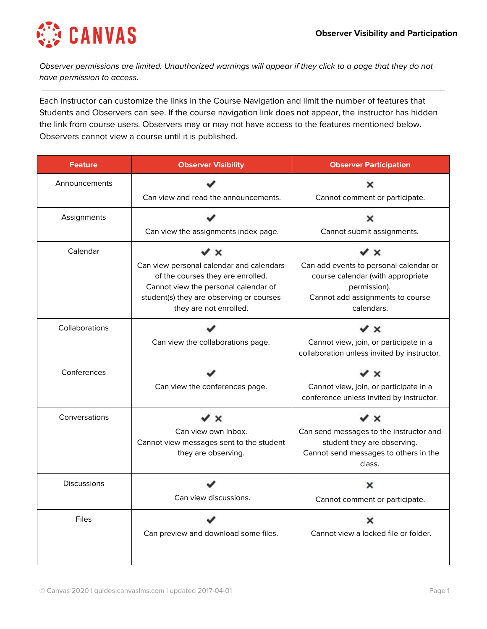

Observer permissions are limited. Unauthorized warnings will appear if they click to a page that they do not have permission to access.

Each Instructor can customize the links in the Course Navigation and limit the number of features that Students and Observers can see. If the course navigation link does not appear, the instructor has hidden the link from course users. Observers may or may not have access to the features mentioned below. Observers cannot view a course until it is published.

| <b>Feature</b>     | <b>Observer Visibility</b>                                                                                                                                                                                    | <b>Observer Participation</b>                                                                                                                                   |
|--------------------|---------------------------------------------------------------------------------------------------------------------------------------------------------------------------------------------------------------|-----------------------------------------------------------------------------------------------------------------------------------------------------------------|
| Announcements      | Can view and read the announcements.                                                                                                                                                                          | ×<br>Cannot comment or participate.                                                                                                                             |
| Assignments        | Can view the assignments index page.                                                                                                                                                                          | ×<br>Cannot submit assignments.                                                                                                                                 |
| Calendar           | $\checkmark$ x<br>Can view personal calendar and calendars<br>of the courses they are enrolled.<br>Cannot view the personal calendar of<br>student(s) they are observing or courses<br>they are not enrolled. | $\checkmark$ x<br>Can add events to personal calendar or<br>course calendar (with appropriate<br>permission).<br>Cannot add assignments to course<br>calendars. |
| Collaborations     | Can view the collaborations page.                                                                                                                                                                             | v ×<br>Cannot view, join, or participate in a<br>collaboration unless invited by instructor.                                                                    |
| Conferences        | Can view the conferences page.                                                                                                                                                                                | ✔ ×<br>Cannot view, join, or participate in a<br>conference unless invited by instructor.                                                                       |
| Conversations      | ×<br>Can view own Inbox.<br>Cannot view messages sent to the student<br>they are observing.                                                                                                                   | $\prime$ $\times$<br>Can send messages to the instructor and<br>student they are observing.<br>Cannot send messages to others in the<br>class.                  |
| <b>Discussions</b> | Can view discussions.                                                                                                                                                                                         | ×<br>Cannot comment or participate.                                                                                                                             |
| <b>Files</b>       | Can preview and download some files.                                                                                                                                                                          | ×<br>Cannot view a locked file or folder.                                                                                                                       |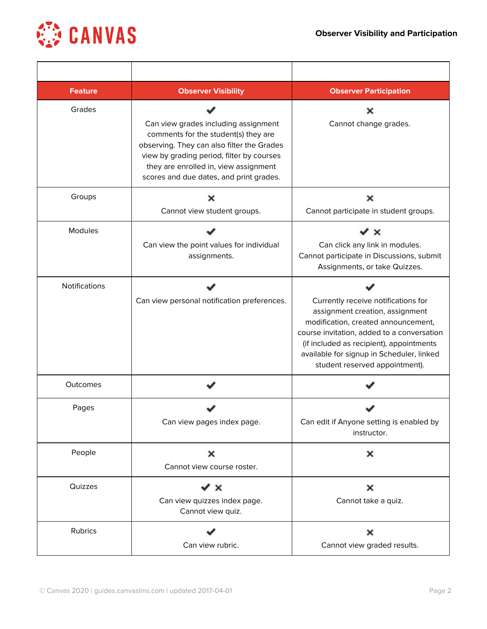

| <b>Feature</b> | <b>Observer Visibility</b>                                                                                                                                                                                                                                  | <b>Observer Participation</b>                                                                                                                                                                                                                                                          |
|----------------|-------------------------------------------------------------------------------------------------------------------------------------------------------------------------------------------------------------------------------------------------------------|----------------------------------------------------------------------------------------------------------------------------------------------------------------------------------------------------------------------------------------------------------------------------------------|
| Grades         | Can view grades including assignment<br>comments for the student(s) they are<br>observing. They can also filter the Grades<br>view by grading period, filter by courses<br>they are enrolled in, view assignment<br>scores and due dates, and print grades. | x<br>Cannot change grades.                                                                                                                                                                                                                                                             |
| Groups         | x<br>Cannot view student groups.                                                                                                                                                                                                                            | ×<br>Cannot participate in student groups.                                                                                                                                                                                                                                             |
| Modules        | Can view the point values for individual<br>assignments.                                                                                                                                                                                                    | ×<br>Can click any link in modules.<br>Cannot participate in Discussions, submit<br>Assignments, or take Quizzes.                                                                                                                                                                      |
| Notifications  | Can view personal notification preferences.                                                                                                                                                                                                                 | Currently receive notifications for<br>assignment creation, assignment<br>modification, created announcement,<br>course invitation, added to a conversation<br>(if included as recipient), appointments<br>available for signup in Scheduler, linked<br>student reserved appointment). |
| Outcomes       |                                                                                                                                                                                                                                                             |                                                                                                                                                                                                                                                                                        |
| Pages          | Can view pages index page.                                                                                                                                                                                                                                  | Can edit if Anyone setting is enabled by<br>instructor.                                                                                                                                                                                                                                |
| People         | ×<br>Cannot view course roster.                                                                                                                                                                                                                             | ×                                                                                                                                                                                                                                                                                      |
| Quizzes        | $\checkmark$ x<br>Can view quizzes index page.<br>Cannot view quiz.                                                                                                                                                                                         | ×<br>Cannot take a quiz.                                                                                                                                                                                                                                                               |
| Rubrics        | Can view rubric.                                                                                                                                                                                                                                            | ×<br>Cannot view graded results.                                                                                                                                                                                                                                                       |